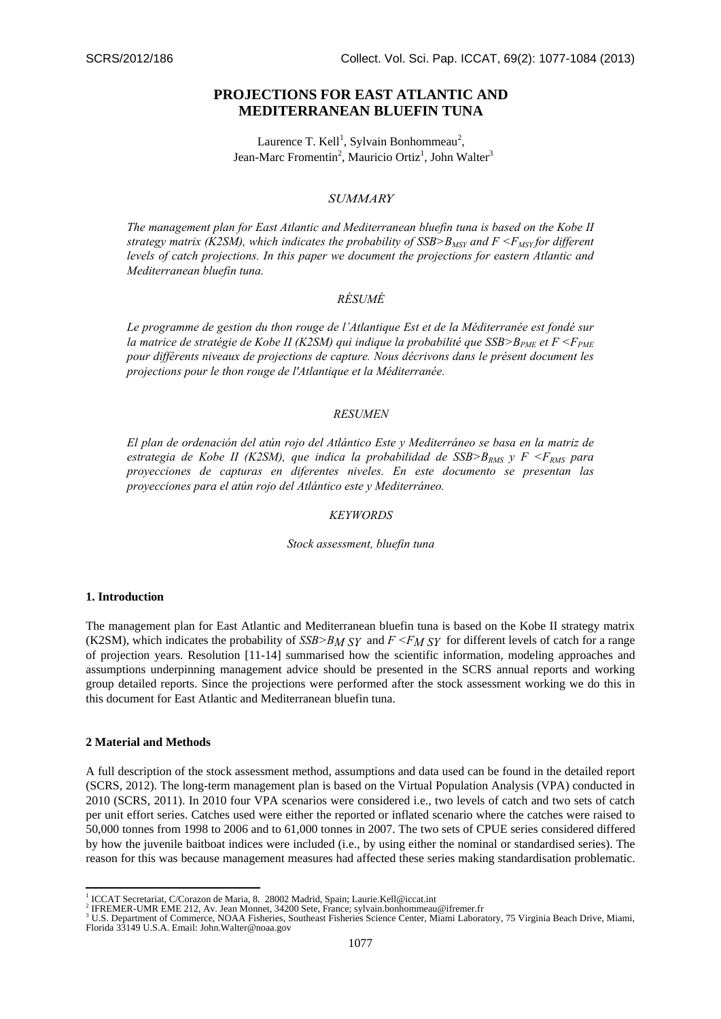# **PROJECTIONS FOR EAST ATLANTIC AND MEDITERRANEAN BLUEFIN TUNA**

Laurence T. Kell<sup>1</sup>, Sylvain Bonhommeau<sup>2</sup>, Jean-Marc Fromentin<sup>2</sup>, Mauricio Ortiz<sup>1</sup>, John Walter<sup>3</sup>

## *SUMMARY*

*The management plan for East Atlantic and Mediterranean bluefin tuna is based on the Kobe II strategy matrix (K2SM), which indicates the probability of SSB>B<sub>MSY</sub> and*  $F \leq F_{MST}$  *for different levels of catch projections. In this paper we document the projections for eastern Atlantic and Mediterranean bluefin tuna.* 

# *RÉSUMÉ*

*Le programme de gestion du thon rouge de l'Atlantique Est et de la Méditerranée est fondé sur la matrice de stratégie de Kobe II (K2SM) qui indique la probabilité que SSB>B<sub>PME</sub> et F <F<sub>PME</sub> pour différents niveaux de projections de capture. Nous décrivons dans le présent document les projections pour le thon rouge de l'Atlantique et la Méditerranée.* 

#### *RESUMEN*

*El plan de ordenación del atún rojo del Atlántico Este y Mediterráneo se basa en la matriz de*  estrategia de Kobe II (K2SM), que indica la probabilidad de SSB>B<sub>RMS</sub> y F <F<sub>RMS</sub> para *proyecciones de capturas en diferentes niveles. En este documento se presentan las proyecciones para el atún rojo del Atlántico este y Mediterráneo.* 

#### *KEYWORDS*

*Stock assessment, bluefin tuna* 

#### **1. Introduction**

The management plan for East Atlantic and Mediterranean bluefin tuna is based on the Kobe II strategy matrix (K2SM), which indicates the probability of *SSB>BM SY* and *F <FM SY* for different levels of catch for a range of projection years. Resolution [11-14] summarised how the scientific information, modeling approaches and assumptions underpinning management advice should be presented in the SCRS annual reports and working group detailed reports. Since the projections were performed after the stock assessment working we do this in this document for East Atlantic and Mediterranean bluefin tuna.

#### **2 Material and Methods**

A full description of the stock assessment method, assumptions and data used can be found in the detailed report (SCRS, 2012). The long-term management plan is based on the Virtual Population Analysis (VPA) conducted in 2010 (SCRS, 2011). In 2010 four VPA scenarios were considered i.e., two levels of catch and two sets of catch per unit effort series. Catches used were either the reported or inflated scenario where the catches were raised to 50,000 tonnes from 1998 to 2006 and to 61,000 tonnes in 2007. The two sets of CPUE series considered differed by how the juvenile baitboat indices were included (i.e., by using either the nominal or standardised series). The reason for this was because management measures had affected these series making standardisation problematic.

 <sup>1</sup> ICCAT Secretariat, C/Corazon de Maria, 8. 28002 Madrid, Spain; Laurie.Kell@iccat.int<br><sup>2</sup> IEDEMER JJMB EME 212. Ay Joan Monnet 24200 Sete Eranea: sylvain bonbommooy

<sup>&</sup>lt;sup>2</sup> IFREMER-UMR EME 212, Av. Jean Monnet, 34200 Sete, France; sylvain.bonhommeau@ifremer.fr

<sup>&</sup>lt;sup>3</sup> U.S. Department of Commerce, NOAA Fisheries, Southeast Fisheries Science Center, Miami Laboratory, 75 Virginia Beach Drive, Miami, Florida 33149 U.S.A. Email: John.Walter@noaa.gov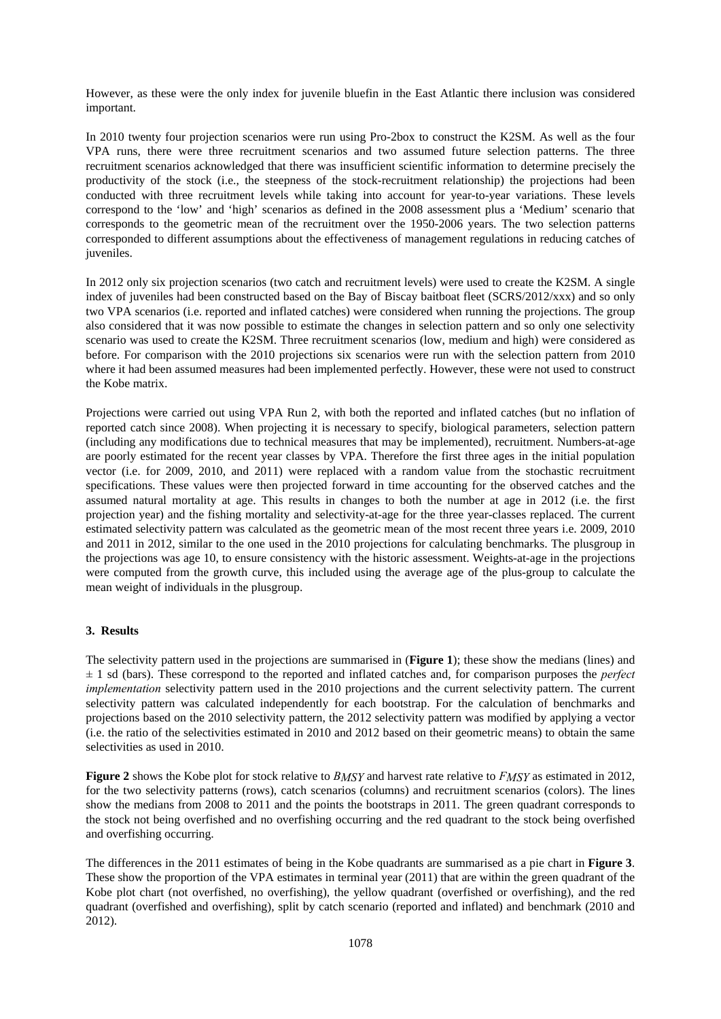However, as these were the only index for juvenile bluefin in the East Atlantic there inclusion was considered important.

In 2010 twenty four projection scenarios were run using Pro-2box to construct the K2SM. As well as the four VPA runs, there were three recruitment scenarios and two assumed future selection patterns. The three recruitment scenarios acknowledged that there was insufficient scientific information to determine precisely the productivity of the stock (i.e., the steepness of the stock-recruitment relationship) the projections had been conducted with three recruitment levels while taking into account for year-to-year variations. These levels correspond to the 'low' and 'high' scenarios as defined in the 2008 assessment plus a 'Medium' scenario that corresponds to the geometric mean of the recruitment over the 1950-2006 years. The two selection patterns corresponded to different assumptions about the effectiveness of management regulations in reducing catches of juveniles.

In 2012 only six projection scenarios (two catch and recruitment levels) were used to create the K2SM. A single index of juveniles had been constructed based on the Bay of Biscay baitboat fleet (SCRS/2012/xxx) and so only two VPA scenarios (i.e. reported and inflated catches) were considered when running the projections. The group also considered that it was now possible to estimate the changes in selection pattern and so only one selectivity scenario was used to create the K2SM. Three recruitment scenarios (low, medium and high) were considered as before. For comparison with the 2010 projections six scenarios were run with the selection pattern from 2010 where it had been assumed measures had been implemented perfectly. However, these were not used to construct the Kobe matrix.

Projections were carried out using VPA Run 2, with both the reported and inflated catches (but no inflation of reported catch since 2008). When projecting it is necessary to specify, biological parameters, selection pattern (including any modifications due to technical measures that may be implemented), recruitment. Numbers-at-age are poorly estimated for the recent year classes by VPA. Therefore the first three ages in the initial population vector (i.e. for 2009, 2010, and 2011) were replaced with a random value from the stochastic recruitment specifications. These values were then projected forward in time accounting for the observed catches and the assumed natural mortality at age. This results in changes to both the number at age in 2012 (i.e. the first projection year) and the fishing mortality and selectivity-at-age for the three year-classes replaced. The current estimated selectivity pattern was calculated as the geometric mean of the most recent three years i.e. 2009, 2010 and 2011 in 2012, similar to the one used in the 2010 projections for calculating benchmarks. The plusgroup in the projections was age 10, to ensure consistency with the historic assessment. Weights-at-age in the projections were computed from the growth curve, this included using the average age of the plus-group to calculate the mean weight of individuals in the plusgroup.

## **3. Results**

The selectivity pattern used in the projections are summarised in (**Figure 1**); these show the medians (lines) and *±* 1 sd (bars). These correspond to the reported and inflated catches and, for comparison purposes the *perfect implementation* selectivity pattern used in the 2010 projections and the current selectivity pattern. The current selectivity pattern was calculated independently for each bootstrap. For the calculation of benchmarks and projections based on the 2010 selectivity pattern, the 2012 selectivity pattern was modified by applying a vector (i.e. the ratio of the selectivities estimated in 2010 and 2012 based on their geometric means) to obtain the same selectivities as used in 2010.

**Figure 2** shows the Kobe plot for stock relative to *BMSY* and harvest rate relative to *FMSY* as estimated in 2012, for the two selectivity patterns (rows), catch scenarios (columns) and recruitment scenarios (colors). The lines show the medians from 2008 to 2011 and the points the bootstraps in 2011. The green quadrant corresponds to the stock not being overfished and no overfishing occurring and the red quadrant to the stock being overfished and overfishing occurring.

The differences in the 2011 estimates of being in the Kobe quadrants are summarised as a pie chart in **Figure 3**. These show the proportion of the VPA estimates in terminal year (2011) that are within the green quadrant of the Kobe plot chart (not overfished, no overfishing), the yellow quadrant (overfished or overfishing), and the red quadrant (overfished and overfishing), split by catch scenario (reported and inflated) and benchmark (2010 and 2012).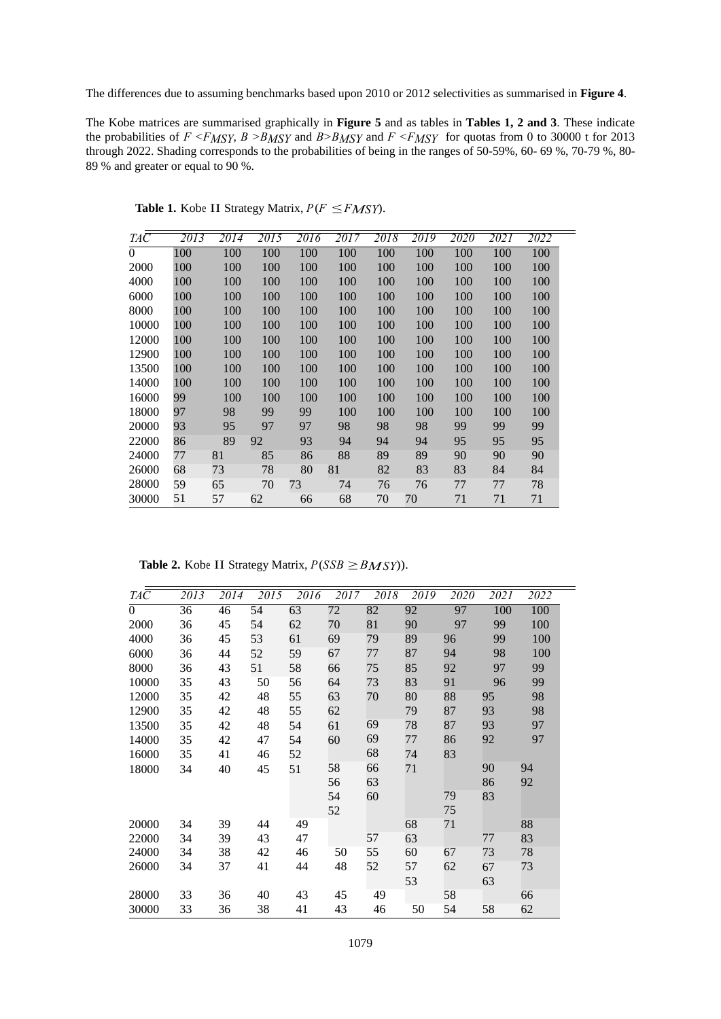The differences due to assuming benchmarks based upon 2010 or 2012 selectivities as summarised in **Figure 4**.

The Kobe matrices are summarised graphically in **Figure 5** and as tables in **Tables 1, 2 and 3**. These indicate the probabilities of *F <FMSY*, *B >BMSY* and *B>BMSY* and *F <FMSY* for quotas from 0 to 30000 t for 2013 through 2022. Shading corresponds to the probabilities of being in the ranges of 50-59%, 60- 69 %, 70-79 %, 80- 89 % and greater or equal to 90 %.

| TAC      | 2013 | 2014 | 2015 | 2016 | 2017 | 2018 | 2019 | 2020 | 2021 | 2022 |
|----------|------|------|------|------|------|------|------|------|------|------|
| $\Omega$ | 100  | 100  | 100  | 100  | 100  | 100  | 100  | 100  | 100  | 100  |
| 2000     | 100  | 100  | 100  | 100  | 100  | 100  | 100  | 100  | 100  | 100  |
| 4000     | 100  | 100  | 100  | 100  | 100  | 100  | 100  | 100  | 100  | 100  |
| 6000     | 100  | 100  | 100  | 100  | 100  | 100  | 100  | 100  | 100  | 100  |
| 8000     | 100  | 100  | 100  | 100  | 100  | 100  | 100  | 100  | 100  | 100  |
| 10000    | 100  | 100  | 100  | 100  | 100  | 100  | 100  | 100  | 100  | 100  |
| 12000    | 100  | 100  | 100  | 100  | 100  | 100  | 100  | 100  | 100  | 100  |
| 12900    | 100  | 100  | 100  | 100  | 100  | 100  | 100  | 100  | 100  | 100  |
| 13500    | 100  | 100  | 100  | 100  | 100  | 100  | 100  | 100  | 100  | 100  |
| 14000    | 100  | 100  | 100  | 100  | 100  | 100  | 100  | 100  | 100  | 100  |
| 16000    | 99   | 100  | 100  | 100  | 100  | 100  | 100  | 100  | 100  | 100  |
| 18000    | 97   | 98   | 99   | 99   | 100  | 100  | 100  | 100  | 100  | 100  |
| 20000    | 93   | 95   | 97   | 97   | 98   | 98   | 98   | 99   | 99   | 99   |
| 22000    | 86   | 89   | 92   | 93   | 94   | 94   | 94   | 95   | 95   | 95   |
| 24000    | 77   | 81   | 85   | 86   | 88   | 89   | 89   | 90   | 90   | 90   |
| 26000    | 68   | 73   | 78   | 80   | 81   | 82   | 83   | 83   | 84   | 84   |
| 28000    | 59   | 65   | 70   | 73   | 74   | 76   | 76   | 77   | 77   | 78   |
| 30000    | 51   | 57   | 62   | 66   | 68   | 70   | 70   | 71   | 71   | 71   |
|          |      |      |      |      |      |      |      |      |      |      |

**Table 1.** Kobe II Strategy Matrix,  $P(F \leq FMSY)$ .

**Table 2.** Kobe II Strategy Matrix,  $P(SSB \geq BMSY)$ ).

| $TA\overline{C}$ | 2013 | 2014 | 2015 | 2016 | 2017 | 2018 | 2019 | 2020 | 2021 | 2022 |
|------------------|------|------|------|------|------|------|------|------|------|------|
| $\overline{0}$   | 36   | 46   | 54   | 63   | 72   | 82   | 92   | 97   | 100  | 100  |
| 2000             | 36   | 45   | 54   | 62   | 70   | 81   | 90   | 97   | 99   | 100  |
| 4000             | 36   | 45   | 53   | 61   | 69   | 79   | 89   | 96   | 99   | 100  |
| 6000             | 36   | 44   | 52   | 59   | 67   | 77   | 87   | 94   | 98   | 100  |
| 8000             | 36   | 43   | 51   | 58   | 66   | 75   | 85   | 92   | 97   | 99   |
| 10000            | 35   | 43   | 50   | 56   | 64   | 73   | 83   | 91   | 96   | 99   |
| 12000            | 35   | 42   | 48   | 55   | 63   | 70   | 80   | 88   | 95   | 98   |
| 12900            | 35   | 42   | 48   | 55   | 62   |      | 79   | 87   | 93   | 98   |
| 13500            | 35   | 42   | 48   | 54   | 61   | 69   | 78   | 87   | 93   | 97   |
| 14000            | 35   | 42   | 47   | 54   | 60   | 69   | 77   | 86   | 92   | 97   |
| 16000            | 35   | 41   | 46   | 52   |      | 68   | 74   | 83   |      |      |
| 18000            | 34   | 40   | 45   | 51   | 58   | 66   | 71   |      | 90   | 94   |
|                  |      |      |      |      | 56   | 63   |      |      | 86   | 92   |
|                  |      |      |      |      | 54   | 60   |      | 79   | 83   |      |
|                  |      |      |      |      | 52   |      |      | 75   |      |      |
| 20000            | 34   | 39   | 44   | 49   |      |      | 68   | 71   |      | 88   |
| 22000            | 34   | 39   | 43   | 47   |      | 57   | 63   |      | 77   | 83   |
| 24000            | 34   | 38   | 42   | 46   | 50   | 55   | 60   | 67   | 73   | 78   |
| 26000            | 34   | 37   | 41   | 44   | 48   | 52   | 57   | 62   | 67   | 73   |
|                  |      |      |      |      |      |      | 53   |      | 63   |      |
| 28000            | 33   | 36   | 40   | 43   | 45   | 49   |      | 58   |      | 66   |
| 30000            | 33   | 36   | 38   | 41   | 43   | 46   | 50   | 54   | 58   | 62   |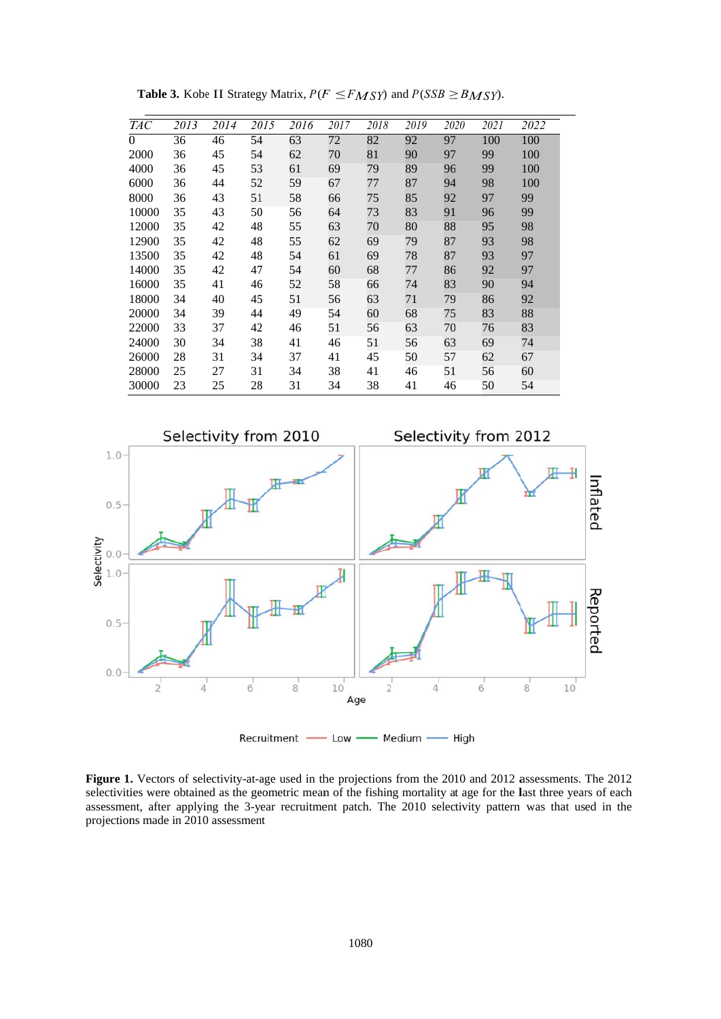| TAC      | 2013 | 2014 | 2015 | 2016 | 2017 | 2018 | 2019 | 2020 | 2021 | 2022 |
|----------|------|------|------|------|------|------|------|------|------|------|
| $\Omega$ | 36   | 46   | 54   | 63   | 72   | 82   | 92   | 97   | 100  | 100  |
| 2000     | 36   | 45   | 54   | 62   | 70   | 81   | 90   | 97   | 99   | 100  |
| 4000     | 36   | 45   | 53   | 61   | 69   | 79   | 89   | 96   | 99   | 100  |
| 6000     | 36   | 44   | 52   | 59   | 67   | 77   | 87   | 94   | 98   | 100  |
| 8000     | 36   | 43   | 51   | 58   | 66   | 75   | 85   | 92   | 97   | 99   |
| 10000    | 35   | 43   | 50   | 56   | 64   | 73   | 83   | 91   | 96   | 99   |
| 12000    | 35   | 42   | 48   | 55   | 63   | 70   | 80   | 88   | 95   | 98   |
| 12900    | 35   | 42   | 48   | 55   | 62   | 69   | 79   | 87   | 93   | 98   |
| 13500    | 35   | 42   | 48   | 54   | 61   | 69   | 78   | 87   | 93   | 97   |
| 14000    | 35   | 42   | 47   | 54   | 60   | 68   | 77   | 86   | 92   | 97   |
| 16000    | 35   | 41   | 46   | 52   | 58   | 66   | 74   | 83   | 90   | 94   |
| 18000    | 34   | 40   | 45   | 51   | 56   | 63   | 71   | 79   | 86   | 92   |
| 20000    | 34   | 39   | 44   | 49   | 54   | 60   | 68   | 75   | 83   | 88   |
| 22000    | 33   | 37   | 42   | 46   | 51   | 56   | 63   | 70   | 76   | 83   |
| 24000    | 30   | 34   | 38   | 41   | 46   | 51   | 56   | 63   | 69   | 74   |
| 26000    | 28   | 31   | 34   | 37   | 41   | 45   | 50   | 57   | 62   | 67   |
| 28000    | 25   | 27   | 31   | 34   | 38   | 41   | 46   | 51   | 56   | 60   |
| 30000    | 23   | 25   | 28   | 31   | 34   | 38   | 41   | 46   | 50   | 54   |

 **Table 3.** Kobe II Strategy Matrix,  $P(F \leq FMSY)$  and  $P(SSB \geq BMSY)$ .



**Figure 1.** Vectors of selectivity-at-age used in the projections from the 2010 and 2012 assessments. The 2012 selectivities were obtained as the geometric mean of the fishing mortality at age for the last three years of each assessment, after applying the 3-year recruitment patch. The 2010 selectivity pattern was that used in the projections made in 2010 assessment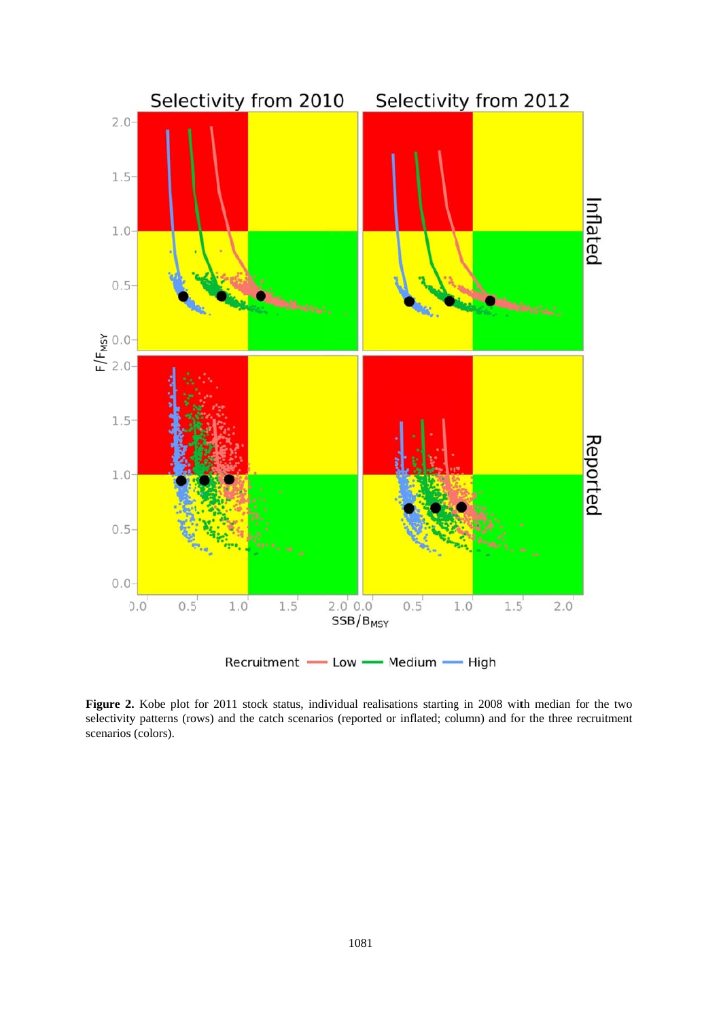

Figure 2. Kobe plot for 2011 stock status, individual realisations starting in 2008 with median for the two selectivity patterns (rows) and the catch scenarios (reported or inflated; column) and for the three recruitment scenarios (colors).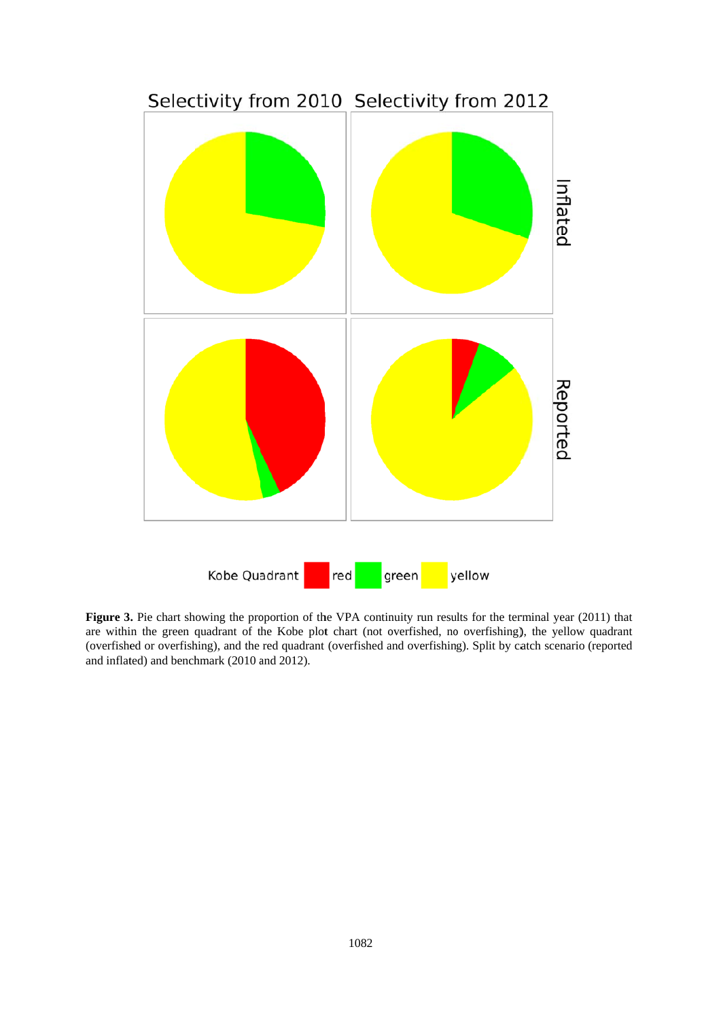

**Figure 3.** Pie chart showing the proportion of the VPA continuity run results for the terminal year (2011) that are within the green quadrant of the Kobe plot chart (not overfished, no overfishing), the yellow quadrant (overfished or overfishing), and the red quadrant (overfished and overfishing). Split by catch scenario (reported and inflated) and benchmark (2010 and 2012).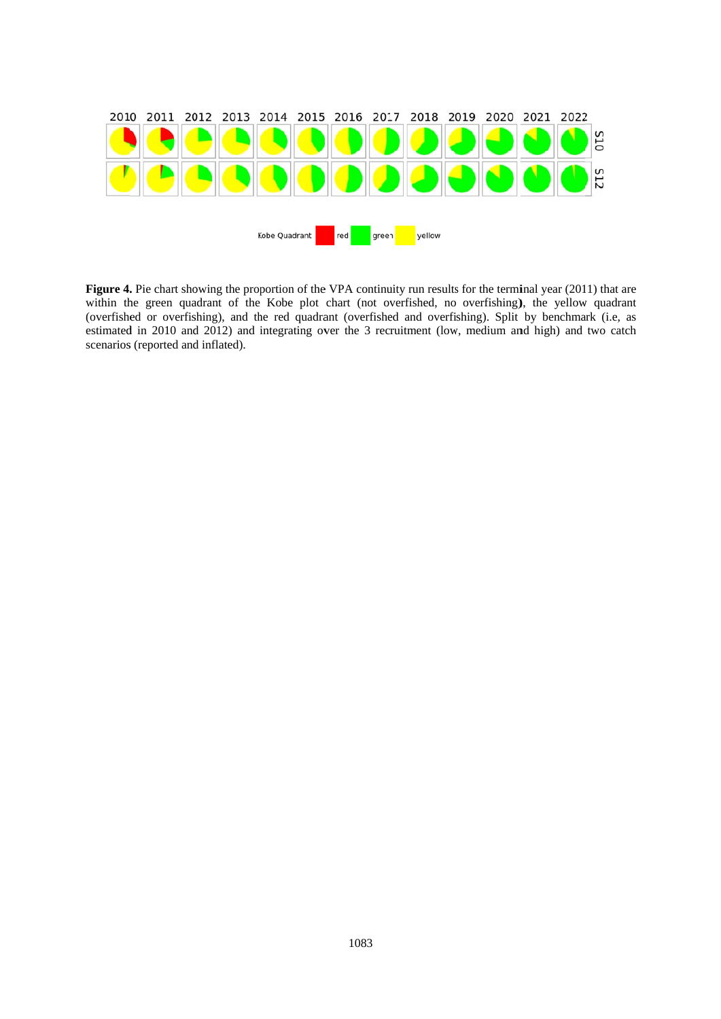

**Figure 4.** Pie chart showing the proportion of the VPA continuity run results for the terminal year (2011) that are within the green quadrant of the Kobe plot chart (not overfished, no overfishing), the yellow quadrant (overfished or overfishing), and the red quadrant (overfished and overfishing). Split by benchmark (i.e, as estimated in 2010 and 2012) and integrating over the 3 recruitment (low, medium and high) and two catch scenarios (reported and inflated).